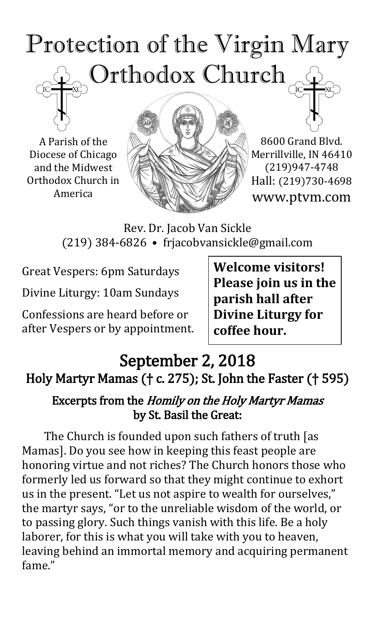# Protection of the Virgin Mary Orthodox Church

A Parish of the Diocese of Chicago and the Midwest Orthodox Church in America



8600 Grand Blvd. Merrillville, IN 46410 (219)947-4748 Hall: (219)730-4698 www.ptvm.com

Rev. Dr. Jacob Van Sickle (219) 384-6826 • frjacobvansickle@gmail.com

Great Vespers: 6pm Saturdays

Divine Liturgy: 10am Sundays

Confessions are heard before or after Vespers or by appointment. **Welcome visitors! Please join us in the parish hall after Divine Liturgy for coffee hour.**

## September 2, 2018 Holy Martyr Mamas († c. 275); St. John the Faster († 595)

#### Excerpts from the Homily on the Holy Martyr Mamas by St. Basil the Great:

The Church is founded upon such fathers of truth [as Mamas]. Do you see how in keeping this feast people are honoring virtue and not riches? The Church honors those who formerly led us forward so that they might continue to exhort us in the present. "Let us not aspire to wealth for ourselves," the martyr says, "or to the unreliable wisdom of the world, or to passing glory. Such things vanish with this life. Be a holy laborer, for this is what you will take with you to heaven, leaving behind an immortal memory and acquiring permanent fame."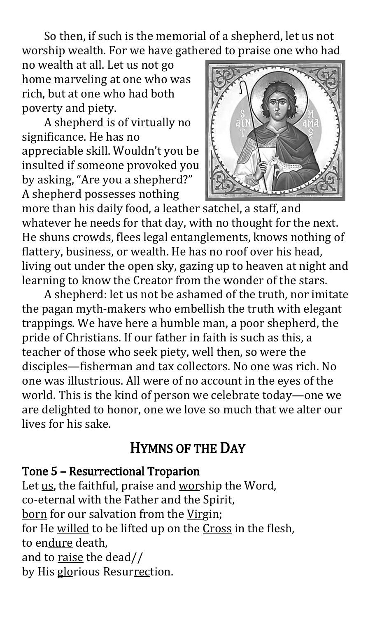So then, if such is the memorial of a shepherd, let us not worship wealth. For we have gathered to praise one who had

no wealth at all. Let us not go home marveling at one who was rich, but at one who had both poverty and piety.

A shepherd is of virtually no significance. He has no appreciable skill. Wouldn't you be insulted if someone provoked you by asking, "Are you a shepherd?" A shepherd possesses nothing



more than his daily food, a leather satchel, a staff, and whatever he needs for that day, with no thought for the next. He shuns crowds, flees legal entanglements, knows nothing of flattery, business, or wealth. He has no roof over his head, living out under the open sky, gazing up to heaven at night and learning to know the Creator from the wonder of the stars.

A shepherd: let us not be ashamed of the truth, nor imitate the pagan myth-makers who embellish the truth with elegant trappings. We have here a humble man, a poor shepherd, the pride of Christians. If our father in faith is such as this, a teacher of those who seek piety, well then, so were the disciples—fisherman and tax collectors. No one was rich. No one was illustrious. All were of no account in the eyes of the world. This is the kind of person we celebrate today—one we are delighted to honor, one we love so much that we alter our lives for his sake.

## HYMNS OF THE DAY

#### Tone 5 – Resurrectional Troparion

Let us, the faithful, praise and worship the Word, co-eternal with the Father and the Spirit, born for our salvation from the Virgin; for He willed to be lifted up on the Cross in the flesh, to endure death, and to raise the dead// by His glorious Resurrection.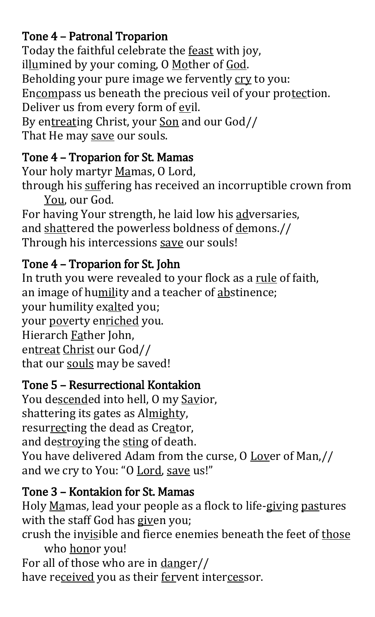## Tone 4 – Patronal Troparion

Today the faithful celebrate the feast with joy, illumined by your coming, O Mother of God. Beholding your pure image we fervently cry to you: Encompass us beneath the precious veil of your protection. Deliver us from every form of evil. By entreating Christ, your Son and our God// That He may save our souls.

## Tone 4 – Troparion for St. Mamas

Your holy martyr Mamas, O Lord, through his suffering has received an incorruptible crown from You, our God.

For having Your strength, he laid low his adversaries, and shattered the powerless boldness of demons.// Through his intercessions save our souls!

## Tone 4 – Troparion for St. John

In truth you were revealed to your flock as a rule of faith, an image of humility and a teacher of abstinence; your humility exalted you; your poverty enriched you. Hierarch Father John, entreat Christ our God// that our souls may be saved!

## Tone 5 – Resurrectional Kontakion

You descended into hell, O my Savior, shattering its gates as Almighty, resurrecting the dead as Creator, and destroying the sting of death. You have delivered Adam from the curse, O Lover of Man,// and we cry to You: "O Lord, save us!"

## Tone 3 – Kontakion for St. Mamas

Holy Mamas, lead your people as a flock to life-giving pastures with the staff God has given you;

crush the invisible and fierce enemies beneath the feet of those who honor you!

For all of those who are in danger// have received you as their fervent intercessor.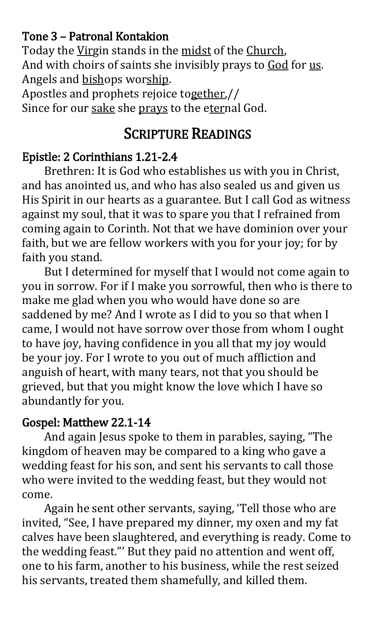#### Tone 3 – Patronal Kontakion

Today the Virgin stands in the midst of the Church, And with choirs of saints she invisibly prays to God for us. Angels and bishops worship.

Apostles and prophets rejoice together,// Since for our sake she prays to the eternal God.

## SCRIPTURE READINGS

#### Epistle: 2 Corinthians 1.21-2.4

Brethren: It is God who establishes us with you in Christ, and has anointed us, and who has also sealed us and given us His Spirit in our hearts as a guarantee. But I call God as witness against my soul, that it was to spare you that I refrained from coming again to Corinth. Not that we have dominion over your faith, but we are fellow workers with you for your joy; for by faith you stand.

But I determined for myself that I would not come again to you in sorrow. For if I make you sorrowful, then who is there to make me glad when you who would have done so are saddened by me? And I wrote as I did to you so that when I came, I would not have sorrow over those from whom I ought to have joy, having confidence in you all that my joy would be your joy. For I wrote to you out of much affliction and anguish of heart, with many tears, not that you should be grieved, but that you might know the love which I have so abundantly for you.

#### Gospel: Matthew 22.1-14

And again Jesus spoke to them in parables, saying, "The kingdom of heaven may be compared to a king who gave a wedding feast for his son, and sent his servants to call those who were invited to the wedding feast, but they would not come.

Again he sent other servants, saying, 'Tell those who are invited, "See, I have prepared my dinner, my oxen and my fat calves have been slaughtered, and everything is ready. Come to the wedding feast."' But they paid no attention and went off, one to his farm, another to his business, while the rest seized his servants, treated them shamefully, and killed them.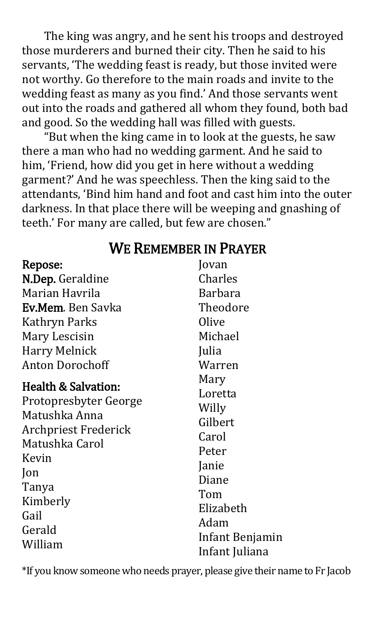The king was angry, and he sent his troops and destroyed those murderers and burned their city. Then he said to his servants, 'The wedding feast is ready, but those invited were not worthy. Go therefore to the main roads and invite to the wedding feast as many as you find.' And those servants went out into the roads and gathered all whom they found, both bad and good. So the wedding hall was filled with guests.

 "But when the king came in to look at the guests, he saw there a man who had no wedding garment. And he said to him, 'Friend, how did you get in here without a wedding garment?' And he was speechless. Then the king said to the attendants, 'Bind him hand and foot and cast him into the outer darkness. In that place there will be weeping and gnashing of teeth.' For many are called, but few are chosen."

## WE REMEMBER IN PRAYER

Jovan

#### Repose:

| 15PVDVI                                |                 |
|----------------------------------------|-----------------|
| N.Dep. Geraldine                       | Charles         |
| Marian Havrila                         | <b>Barbara</b>  |
| Ev.Mem. Ben Savka                      | Theodore        |
| Kathryn Parks                          | Olive           |
| Mary Lescisin                          | Michael         |
| <b>Harry Melnick</b>                   | Julia           |
| <b>Anton Dorochoff</b>                 | Warren          |
| <b>Health &amp; Salvation:</b>         | Mary            |
|                                        | Loretta         |
| Protopresbyter George<br>Matushka Anna | Willy           |
|                                        | Gilbert         |
| <b>Archpriest Frederick</b>            | Carol           |
| Matushka Carol                         | Peter           |
| Kevin                                  | Janie           |
| $\mathsf{lon}$                         | Diane           |
| Tanya                                  | Tom             |
| Kimberly                               | Elizabeth       |
| Gail                                   | Adam            |
| Gerald                                 | Infant Benjamin |
| William                                | Infant Iuliana  |

\*If you know someone who needs prayer, please give their name to Fr Jacob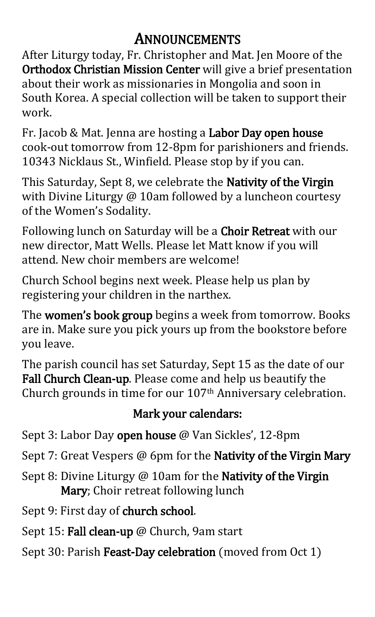## ANNOUNCEMENTS

After Liturgy today, Fr. Christopher and Mat. Jen Moore of the Orthodox Christian Mission Center will give a brief presentation about their work as missionaries in Mongolia and soon in South Korea. A special collection will be taken to support their work.

Fr. Jacob & Mat. Jenna are hosting a Labor Day open house cook-out tomorrow from 12-8pm for parishioners and friends. 10343 Nicklaus St., Winfield. Please stop by if you can.

This Saturday, Sept 8, we celebrate the **Nativity of the Virgin** with Divine Liturgy @ 10am followed by a luncheon courtesy of the Women's Sodality.

Following lunch on Saturday will be a Choir Retreat with our new director, Matt Wells. Please let Matt know if you will attend. New choir members are welcome!

Church School begins next week. Please help us plan by registering your children in the narthex.

The women's book group begins a week from tomorrow. Books are in. Make sure you pick yours up from the bookstore before you leave.

The parish council has set Saturday, Sept 15 as the date of our Fall Church Clean-up. Please come and help us beautify the Church grounds in time for our 107th Anniversary celebration.

## Mark your calendars:

Sept 3: Labor Day open house @ Van Sickles', 12-8pm

Sept 7: Great Vespers @ 6pm for the Nativity of the Virgin Mary

- Sept 8: Divine Liturgy @ 10am for the Nativity of the Virgin Mary; Choir retreat following lunch
- Sept 9: First day of church school.
- Sept 15: Fall clean-up @ Church, 9am start
- Sept 30: Parish Feast-Day celebration (moved from Oct 1)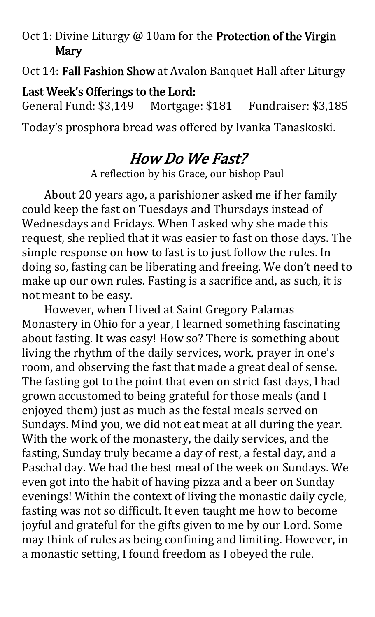#### Oct 1: Divine Liturgy @ 10am for the Protection of the Virgin **Mary**

Oct 14: Fall Fashion Show at Avalon Banquet Hall after Liturgy

Last Week's Offerings to the Lord: General Fund: \$3,149 Mortgage: \$181 Fundraiser: \$3,185

Today's prosphora bread was offered by Ivanka Tanaskoski.

## How Do We Fast?

A reflection by his Grace, our bishop Paul

About 20 years ago, a parishioner asked me if her family could keep the fast on Tuesdays and Thursdays instead of Wednesdays and Fridays. When I asked why she made this request, she replied that it was easier to fast on those days. The simple response on how to fast is to just follow the rules. In doing so, fasting can be liberating and freeing. We don't need to make up our own rules. Fasting is a sacrifice and, as such, it is not meant to be easy.

However, when I lived at Saint Gregory Palamas Monastery in Ohio for a year, I learned something fascinating about fasting. It was easy! How so? There is something about living the rhythm of the daily services, work, prayer in one's room, and observing the fast that made a great deal of sense. The fasting got to the point that even on strict fast days, I had grown accustomed to being grateful for those meals (and I enjoyed them) just as much as the festal meals served on Sundays. Mind you, we did not eat meat at all during the year. With the work of the monastery, the daily services, and the fasting, Sunday truly became a day of rest, a festal day, and a Paschal day. We had the best meal of the week on Sundays. We even got into the habit of having pizza and a beer on Sunday evenings! Within the context of living the monastic daily cycle, fasting was not so difficult. It even taught me how to become joyful and grateful for the gifts given to me by our Lord. Some may think of rules as being confining and limiting. However, in a monastic setting, I found freedom as I obeyed the rule.